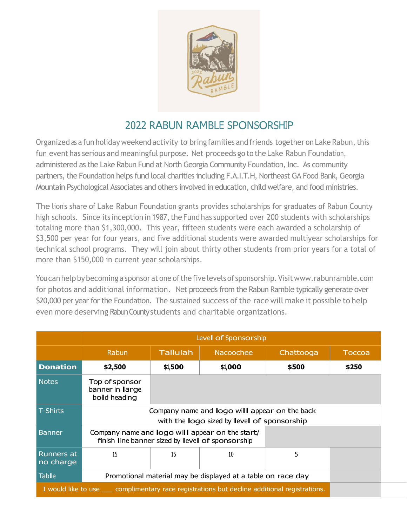

## 2022 RABUN RAMBLE SPONSORSHIP

Organized as a fun holiday weekend activity to bring families and friends together on Lake Rabun, this fun event has serious and meaningful purpose. Net proceeds go to the Lake Rabun Foundation, administered as the Lake Rabun Fund at North Georgia Community Foundation, Inc. As community partners, the Foundation helps fund local charities including F.A.I.T.H, Northeast GA Food Bank, Georgia Mountain Psychological Associates and others involved in education, child welfare, and food ministries.

The lion's share of Lake Rabun Foundation grants provides scholarships for graduates of Rabun County high schools. Since its inception in 1987, the Fund has supported over 200 students with scholarships totaling more than \$1,300,000. This year, fifteen students were each awarded a scholarship of \$3,500 per year for four years, and five additional students were awarded multiyear scholarships for technical school programs. They will join about thirty other students from prior years for a total of more than \$150,000 in current year scholarships.

Youcan help by becoming a sponsor at one of the five levels of sponsorship. Visit www.rabunramble.com for photos and additional information. Net proceeds from the Rabun Ramble typically generate over \$20,000 per year for the Foundation. The sustained success of the race will make it possible to help even more deserving Rabun County students and charitable organizations.

|                                                                                                  | Level of Sponsorship                                                                                |                 |           |           |        |
|--------------------------------------------------------------------------------------------------|-----------------------------------------------------------------------------------------------------|-----------------|-----------|-----------|--------|
|                                                                                                  | Rabun                                                                                               | <b>Tallulah</b> | Nacoochee | Chattooga | Toccoa |
| <b>Donation</b>                                                                                  | \$2,500                                                                                             | \$1,500         | \$1,000   | \$500     | \$250  |
| <b>Notes</b>                                                                                     | Top of sponsor<br>banner in large<br>bold heading                                                   |                 |           |           |        |
| <b>T-Shirts</b>                                                                                  | Company name and logo will appear on the back<br>with the logo sized by level of sponsorship        |                 |           |           |        |
| Banner                                                                                           | Company name and logo will appear on the start/<br>finish line banner sized by level of sponsorship |                 |           |           |        |
| <b>Runners at</b><br>no charge                                                                   | 15                                                                                                  | 15              | 10        | 5         |        |
| <b>Table</b>                                                                                     | Promotional material may be displayed at a table on race day                                        |                 |           |           |        |
| I would like to use _____ complimentary race registrations but decline additional registrations. |                                                                                                     |                 |           |           |        |